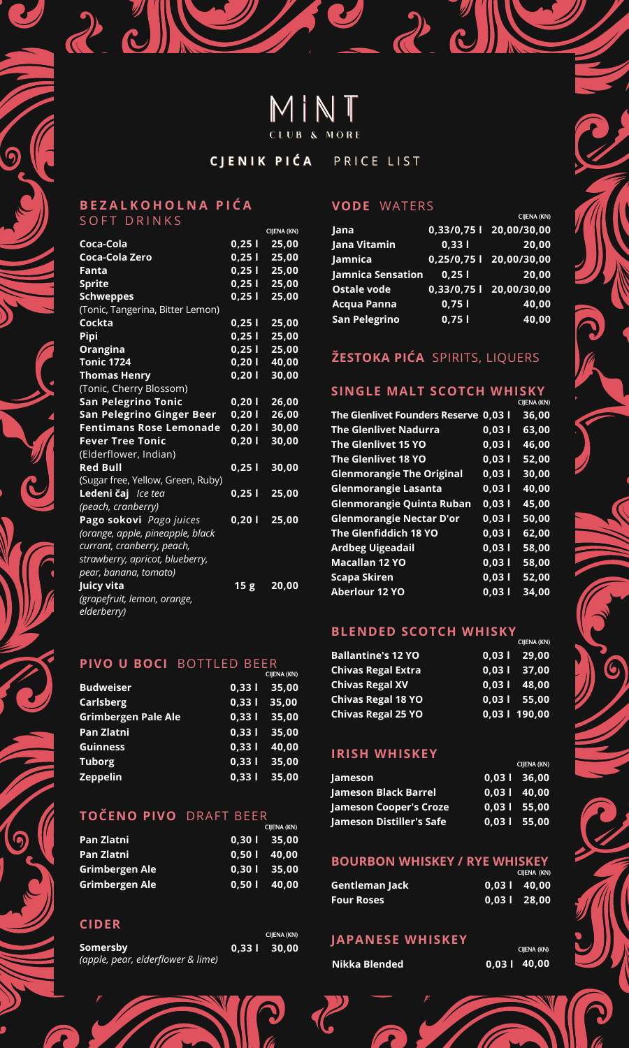# MINT

CJENIK PIĆA PRICE LIST

#### **B E Z A L K O H O L N A P I Ć A** SOFT DRINKS

20

|                                   |                 | CIJENA (KN) |
|-----------------------------------|-----------------|-------------|
| Coca-Cola                         | 0,251           | 25,00       |
| Coca-Cola Zero                    | 0,251           | 25,00       |
| Fanta                             | 0,251           | 25,00       |
| <b>Sprite</b>                     | $0,25$          | 25,00       |
| <b>Schweppes</b>                  | 0,251           | 25,00       |
| (Tonic, Tangerina, Bitter Lemon)  |                 |             |
| Cockta                            | 0,251           | 25,00       |
| Pipi                              | 0,251           | 25,00       |
| Orangina                          | 0,251           | 25,00       |
| <b>Tonic 1724</b>                 | 0,20            | 40,00       |
| <b>Thomas Henry</b>               | 0,201           | 30,00       |
| (Tonic, Cherry Blossom)           |                 |             |
| <b>San Pelegrino Tonic</b>        | 0,201           | 26,00       |
| San Pelegrino Ginger Beer         | 0,201           | 26,00       |
| <b>Fentimans Rose Lemonade</b>    | 0,201           | 30,00       |
| <b>Fever Tree Tonic</b>           | 0,201           | 30,00       |
| (Elderflower, Indian)             |                 |             |
| <b>Red Bull</b>                   | 0,25            | 30,00       |
| (Sugar free, Yellow, Green, Ruby) |                 |             |
| Ledeni čaj Ice tea                | $0,25$          | 25,00       |
| (peach, cranberry)                |                 |             |
| Pago sokovi Pago juices           | 0,201           | 25,00       |
| (orange, apple, pineapple, black  |                 |             |
| currant, cranberry, peach,        |                 |             |
| strawberry, apricot, blueberry,   |                 |             |
| pear, banana, tomato)             |                 |             |
| <u>Jui</u> cy vita                | 15 <sub>g</sub> | 20,00       |
| (grapefruit, lemon, orange,       |                 |             |
| elderberry)                       |                 |             |

## **PIVO U BOCI** BOTTLED BEER

|                            |          | CIJENA (KN)   |
|----------------------------|----------|---------------|
| <b>Budweiser</b>           |          | $0,331$ 35,00 |
| <b>Carlsberg</b>           | $0.33$ T | 35,00         |
| <b>Grimbergen Pale Ale</b> | 0.331    | 35,00         |
| Pan Zlatni                 | 0.331    | 35,00         |
| <b>Guinness</b>            | 0.331    | 40.00         |
| <b>Tuborg</b>              | 0.331    | 35,00         |
| <b>Zeppelin</b>            | $0,33$ T | 35,00         |

## **TOČENO PIVO** DRAFT BEER

|                | CIJENA (KN)   |
|----------------|---------------|
| Pan Zlatni     | $0.301$ 35.00 |
| Pan Zlatni     | $0.501$ 40.00 |
| Grimbergen Ale | $0.301$ 35.00 |
| Grimbergen Ale | $0.501$ 40.00 |

#### **CIDER**

6

|                                   |                | CIIENA (KN) |
|-----------------------------------|----------------|-------------|
| Somersby                          | $0.33$   30.00 |             |
| (apple, pear, elderflower & lime) |                |             |

#### **VODE** WATERS

|                          |       | CIJENA (KN)               |
|--------------------------|-------|---------------------------|
| Jana                     |       | 0,33/0,75 l 20,00/30,00   |
| Jana Vitamin             | 0,331 | 20.00                     |
| Jamnica                  |       | $0,25/0,751$ 20,00/30,00  |
| <b>Jamnica Sensation</b> | 0.251 | 20.00                     |
| <b>Ostale vode</b>       |       | $0,33/0,75$   20,00/30,00 |
| <b>Acqua Panna</b>       | 0.751 | 40,00                     |
| <b>San Pelegrino</b>     | 0.751 | 40,00                     |

 $2$  c

## **ŽESTOKA PIĆA** SPIRITS, LIQUERS

## **SINGLE MALT SCOTCH WHISKY**

|                                       |       | CIJENA (KN) |
|---------------------------------------|-------|-------------|
| The Glenlivet Founders Reserve 0,03 l |       | 36,00       |
| <b>The Glenlivet Nadurra</b>          | 0.031 | 63,00       |
| The Glenlivet 15 YO                   | 0.031 | 46,00       |
| The Glenlivet 18 YO                   | 0.031 | 52.00       |
| <b>Glenmorangie The Original</b>      | 0.031 | 30,00       |
| <b>Glenmorangie Lasanta</b>           | 0.031 | 40.00       |
| <b>Glenmorangie Quinta Ruban</b>      | 0.031 | 45.00       |
| <b>Glenmorangie Nectar D'or</b>       | 0.031 | 50.00       |
| The Glenfiddich 18 YO                 | 0.031 | 62.00       |
| <b>Ardbeg Uigeadail</b>               | 0.031 | 58.00       |
| <b>Macallan 12 YO</b>                 | 0.031 | 58,00       |
| <b>Scapa Skiren</b>                   | 0.031 | 52.00       |
| <b>Aberlour 12 YO</b>                 | 0.031 | 34.00       |

#### **BLENDED SCOTCH WHISKY**

|                           | CIJENA (KN)    |
|---------------------------|----------------|
| <b>Ballantine's 12 YO</b> | $0.031$ 29.00  |
| Chivas Regal Extra        | $0.03$   37.00 |
| <b>Chivas Regal XV</b>    | $0.031$ 48.00  |
| <b>Chivas Regal 18 YO</b> | $0.03$   55.00 |
| <b>Chivas Regal 25 YO</b> | 0,03   190,00  |

## **IRISH WHISKEY**

|                               |                | CIJENA (KN) |
|-------------------------------|----------------|-------------|
| Jameson                       | $0.03$   36.00 |             |
| Jameson Black Barrel          | $0.03$   40.00 |             |
| <b>Jameson Cooper's Croze</b> | $0.031$ 55.00  |             |
| Jameson Distiller's Safe      | $0.03$   55.00 |             |

#### **BOURBON WHISKEY / RYE WHISKEY**

|                   | CIJENA (KN)   |
|-------------------|---------------|
| Gentleman Jack    | $0.031$ 40.00 |
| <b>Four Roses</b> | $0.031$ 28.00 |

#### **JAPANESE WHISKEY**



|        | CIJENA (KN) |
|--------|-------------|
| 0.03 l | 40,00       |